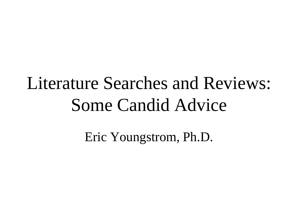### Literature Searches and Reviews: Some Candid Advice

Eric Youngstrom, Ph.D.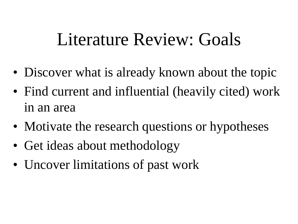#### Literature Review: Goals

- Discover what is already known about the topic
- Find current and influential (heavily cited) work in an area
- Motivate the research questions or hypotheses
- Get ideas about methodology
- Uncover limitations of past work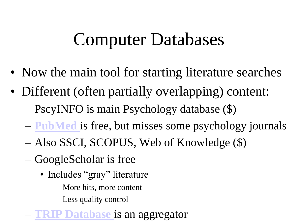#### Computer Databases

- Now the main tool for starting literature searches
- Different (often partially overlapping) content: – PscyINFO is main Psychology database (\$)
	- **[PubMed](http://www.ncbi.nlm.nih.gov.libproxy.lib.unc.edu/pubmed/)** is free, but misses some psychology journals
	- Also SSCI, SCOPUS, Web of Knowledge (\$)
	- GoogleScholar is free
		- Includes "gray" literature
			- More hits, more content
			- Less quality control
		- **RIP Database** is an aggregator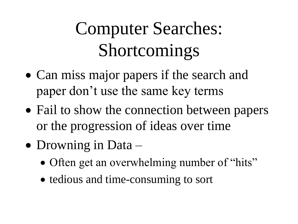## Computer Searches: Shortcomings

- Can miss major papers if the search and paper don't use the same key terms
- Fail to show the connection between papers or the progression of ideas over time
- Drowning in Data
	- Often get an overwhelming number of "hits"
	- tedious and time-consuming to sort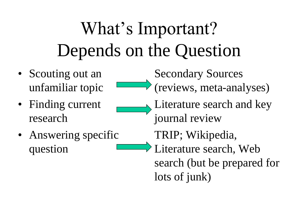## What's Important? Depends on the Question

- Scouting out an unfamiliar topic
- Finding current research
- Answering specific question

Secondary Sources (reviews, meta-analyses) Literature search and key journal review TRIP; Wikipedia, Literature search, Web search (but be prepared for lots of junk)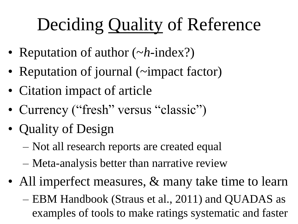# Deciding Quality of Reference

- Reputation of author (~*h*-index?)
- Reputation of journal (~impact factor)
- Citation impact of article
- Currency ("fresh" versus "classic")
- Quality of Design
	- Not all research reports are created equal
	- Meta-analysis better than narrative review
- All imperfect measures, & many take time to learn
	- EBM Handbook (Straus et al., 2011) and QUADAS as examples of tools to make ratings systematic and faster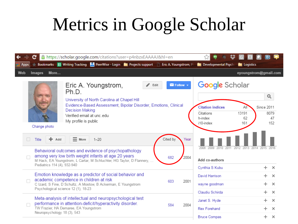#### Metrics in Google Scholar

| c<br>A https://scholar.google.com/citations?user=p4nbzxEAAAAJ&hl=en                                                                                                                                                                                                                                         | BI                                                                                                                                                         |
|-------------------------------------------------------------------------------------------------------------------------------------------------------------------------------------------------------------------------------------------------------------------------------------------------------------|------------------------------------------------------------------------------------------------------------------------------------------------------------|
| Bookmarks   El Writing Tracking   PeerWise - Login   Projects support   Eric A. Youngstrom, Pl<br><b>Apps</b><br>Web<br><b>Images</b><br>More                                                                                                                                                               | <b>Developmental Psycho</b><br><b>Exercise</b> Logistics<br>eyoungstrom@gmail.com                                                                          |
| Eric A. Youngstrom,<br>$\blacksquare$ Follow $\blacktriangledown$<br>Edit<br>Ph.D.<br>University of North Carolina at Chapel Hill<br>Evidence-Based Assessment, Bipolar Disorder, Emotions, Clinical<br><b>Decision Making</b><br>Verified email at unc. edu<br>My profile is public<br>Change photo        | <b>Google</b> Scholar<br>Q<br><b>Citation indices</b><br>All<br>Since 2011<br>8079<br>13191<br>Citations<br>h-index<br>47<br>62<br>152<br>161<br>i10-index |
| Cited by<br>$+$ Add<br>П<br>Year<br>Title<br>$\equiv$ More<br>$1 - 20$<br>Behavioral outcomes and evidence of psychopathology<br>among very low birth weight infants at age 20 years<br>2004<br>682<br>M Hack, EA Youngstrom, L Cartar, M Schluchter, HG Taylor, D Flannery,<br>Pediatrics 114 (4), 932-940 | 2008 2009<br>2010<br>2011<br>2012 2013 2014 2015 2016<br>Add co-authors<br>Cynthia S Kubu<br>$\times$                                                      |
| Emotion knowledge as a predictor of social behavior and<br>academic competence in children at risk<br>603<br>2001<br>C Izard, S Fine, D Schultz, A Mostow, B Ackerman, E Youngstrom<br>Psychological science 12 (1), 18-23                                                                                  | David Harrison<br>$\times$<br>$+$<br>wayne goodman<br>$\times$<br>Claudiu Schirda<br>$\pm$<br>$\times$                                                     |
| Meta-analysis of intellectual and neuropsychological test<br>performance in attention-deficit/hyperactivity disorder.<br>584<br>2004<br>TW Frazier, HA Demaree, EA Youngstrom<br>Neuropsychology 18 (3), 543                                                                                                | Janet S. Hyde<br>$\times$<br>Rex Forehand<br>$\times$<br><b>Bruce Compas</b><br>÷<br>$\times$                                                              |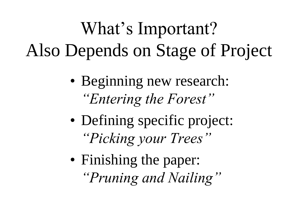## What's Important? Also Depends on Stage of Project

- Beginning new research: *"Entering the Forest"*
- Defining specific project: *"Picking your Trees"*
- Finishing the paper: *"Pruning and Nailing"*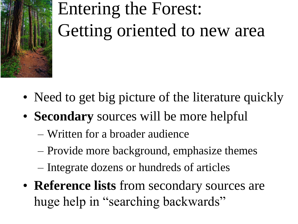

# Entering the Forest: Getting oriented to new area

- Need to get big picture of the literature quickly
- **Secondary** sources will be more helpful
	- Written for a broader audience
	- Provide more background, emphasize themes
	- Integrate dozens or hundreds of articles
- **Reference lists** from secondary sources are huge help in "searching backwards"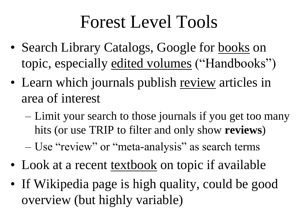#### Forest Level Tools

- Search Library Catalogs, Google for books on topic, especially edited volumes ("Handbooks")
- Learn which journals publish review articles in area of interest
	- Limit your search to those journals if you get too many hits (or use TRIP to filter and only show **reviews**)
	- Use "review" or "meta-analysis" as search terms
- Look at a recent textbook on topic if available
- If Wikipedia page is high quality, could be good overview (but highly variable)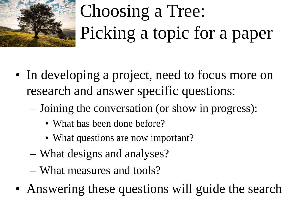

# Choosing a Tree: Picking a topic for a paper

- In developing a project, need to focus more on research and answer specific questions:
	- Joining the conversation (or show in progress):
		- What has been done before?
		- What questions are now important?
	- What designs and analyses?
	- What measures and tools?
- Answering these questions will guide the search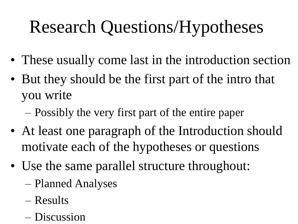## Research Questions/Hypotheses

- These usually come last in the introduction section
- But they should be the first part of the intro that you write
	- Possibly the very first part of the entire paper
- At least one paragraph of the Introduction should motivate each of the hypotheses or questions
- Use the same parallel structure throughout:
	- Planned Analyses
	- Results
	- Discussion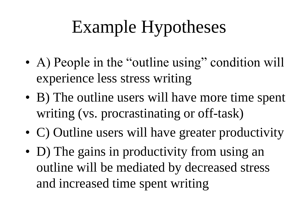## Example Hypotheses

- A) People in the "outline using" condition will experience less stress writing
- B) The outline users will have more time spent writing (vs. procrastinating or off-task)
- C) Outline users will have greater productivity
- D) The gains in productivity from using an outline will be mediated by decreased stress and increased time spent writing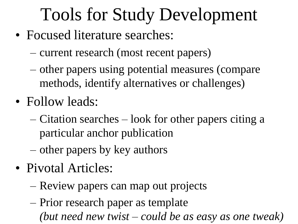### Tools for Study Development

- Focused literature searches:
	- current research (most recent papers)
	- other papers using potential measures (compare methods, identify alternatives or challenges)
- Follow leads:
	- Citation searches look for other papers citing a particular anchor publication
	- other papers by key authors
- Pivotal Articles:
	- Review papers can map out projects
	- Prior research paper as template *(but need new twist – could be as easy as one tweak)*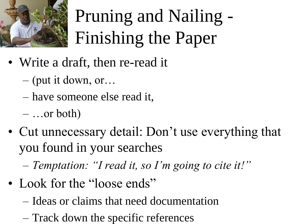

# Pruning and Nailing - Finishing the Paper

- Write a draft, then re-read it
	- (put it down, or…
	- have someone else read it,
	- $-$  ...or both)
- Cut unnecessary detail: Don't use everything that you found in your searches
	- *Temptation: "I read it, so I'm going to cite it!"*
- Look for the "loose ends"
	- Ideas or claims that need documentation
	- Track down the specific references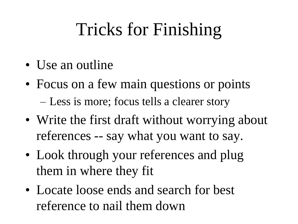### Tricks for Finishing

- Use an outline
- Focus on a few main questions or points – Less is more; focus tells a clearer story
- Write the first draft without worrying about references -- say what you want to say.
- Look through your references and plug them in where they fit
- Locate loose ends and search for best reference to nail them down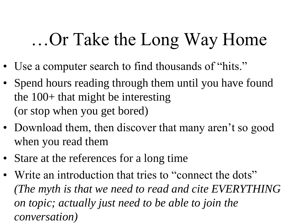#### …Or Take the Long Way Home

- Use a computer search to find thousands of "hits."
- Spend hours reading through them until you have found the 100+ that might be interesting (or stop when you get bored)
- Download them, then discover that many aren't so good when you read them
- Stare at the references for a long time
- Write an introduction that tries to "connect the dots" *(The myth is that we need to read and cite EVERYTHING on topic; actually just need to be able to join the conversation)*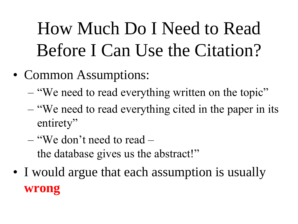## How Much Do I Need to Read Before I Can Use the Citation?

- Common Assumptions:
	- "We need to read everything written on the topic"
	- "We need to read everything cited in the paper in its entirety"
	- "We don't need to read the database gives us the abstract!"
- I would argue that each assumption is usually **wrong**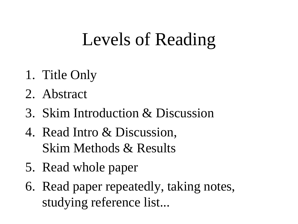### Levels of Reading

- 1. Title Only
- 2. Abstract
- 3. Skim Introduction & Discussion
- 4. Read Intro & Discussion, Skim Methods & Results
- 5. Read whole paper
- 6. Read paper repeatedly, taking notes, studying reference list...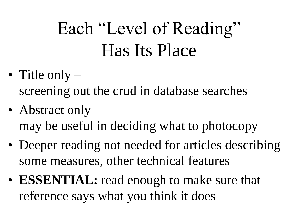## Each "Level of Reading" Has Its Place

- Title only screening out the crud in database searches
- Abstract only may be useful in deciding what to photocopy
- Deeper reading not needed for articles describing some measures, other technical features
- **ESSENTIAL:** read enough to make sure that reference says what you think it does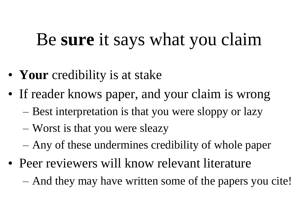#### Be **sure** it says what you claim

- **Your** credibility is at stake
- If reader knows paper, and your claim is wrong
	- Best interpretation is that you were sloppy or lazy
	- Worst is that you were sleazy
	- Any of these undermines credibility of whole paper
- Peer reviewers will know relevant literature
	- And they may have written some of the papers you cite!